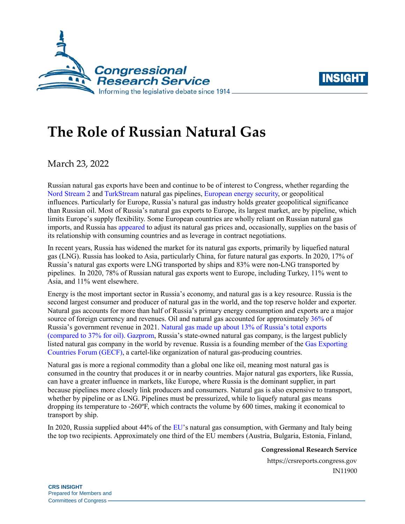



## **The Role of Russian Natural Gas**

March 23, 2022

Russian natural gas exports have been and continue to be of interest to Congress, whether regarding the [Nord Stream 2](https://crsreports.congress.gov/product/pdf/IF/IF11138) and [TurkStream](https://crsreports.congress.gov/product/pdf/IF/IF11177) natural gas pipelines, [European energy security,](https://crsreports.congress.gov/product/pdf/R/R42405#_Toc34237072) or geopolitical influences. Particularly for Europe, Russia's natural gas industry holds greater geopolitical significance than Russian oil. Most of Russia's natural gas exports to Europe, its largest market, are by pipeline, which limits Europe's supply flexibility. Some European countries are wholly reliant on Russian natural gas imports, and Russia has [appeared](https://crsreports.congress.gov/product/pdf/R/R42405#_Toc34237072) to adjust its natural gas prices and, occasionally, supplies on the basis of its relationship with consuming countries and as leverage in contract negotiations.

In recent years, Russia has widened the market for its natural gas exports, primarily by liquefied natural gas (LNG). Russia has looked to Asia, particularly China, for future natural gas exports. In 2020, 17% of Russia's natural gas exports were LNG transported by ships and 83% were non-LNG transported by pipelines. In 2020, 78% of Russian natural gas exports went to Europe, including Turkey, 11% went to Asia, and 11% went elsewhere.

Energy is the most important sector in Russia's economy, and natural gas is a key resource. Russia is the second largest consumer and producer of natural gas in the world, and the top reserve holder and exporter. Natural gas accounts for more than half of Russia's primary energy consumption and exports are a major source of foreign currency and revenues. Oil and natural gas accounted for approximatel[y 36%](https://www.reuters.com/markets/europe/russias-oil-gas-revenue-windfall-2022-01-21/) of Russia's government revenue in 2021. [Natural gas made up about 13%](https://www.reuters.com/markets/europe/russias-oil-gas-revenue-windfall-2022-01-21/) of Russia's total exports [\(compared to 37% for oil\).](https://www.reuters.com/markets/europe/russias-oil-gas-revenue-windfall-2022-01-21/) [Gazprom,](https://en.wikipedia.org/wiki/Gazprom) Russia's state-owned natural gas company, is the largest publicly listed natural gas company in the world by revenue. Russia is a founding member of the [Gas Exporting](https://crsreports.congress.gov/product/pdf/IF/IF10939)  [Countries Forum \(GECF\),](https://crsreports.congress.gov/product/pdf/IF/IF10939) a cartel-like organization of natural gas-producing countries.

Natural gas is more a regional commodity than a global one like oil, meaning most natural gas is consumed in the country that produces it or in nearby countries. Major natural gas exporters, like Russia, can have a greater influence in markets, like Europe, where Russia is the dominant supplier, in part because pipelines more closely link producers and consumers. Natural gas is also expensive to transport, whether by pipeline or as LNG. Pipelines must be pressurized, while to liquefy natural gas means dropping its temperature to -260ºF, which contracts the volume by 600 times, making it economical to transport by ship.

In 2020, Russia supplied about 44% of th[e EU'](https://european-union.europa.eu/principles-countries-history/country-profiles_en)s natural gas consumption, with Germany and Italy being the top two recipients. Approximately one third of the EU members (Austria, Bulgaria, Estonia, Finland,

**Congressional Research Service**

https://crsreports.congress.gov IN11900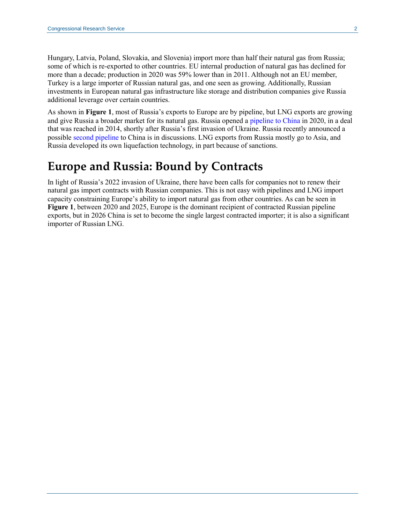Hungary, Latvia, Poland, Slovakia, and Slovenia) import more than half their natural gas from Russia; some of which is re-exported to other countries. EU internal production of natural gas has declined for more than a decade; production in 2020 was 59% lower than in 2011. Although not an EU member, Turkey is a large importer of Russian natural gas, and one seen as growing. Additionally, Russian investments in European natural gas infrastructure like storage and distribution companies give Russia additional leverage over certain countries.

As shown in **[Figure 1](#page-2-0)**, most of Russia's exports to Europe are by pipeline, but LNG exports are growing and give Russia a broader market for its natural gas. Russia opened a [pipeline to China](https://crsreports.congress.gov/product/pdf/IF/IF11514) in 2020, in a deal that was reached in 2014, shortly after Russia's first invasion of Ukraine. Russia recently announced a possible [second pipeline](https://subscriber.politicopro.com/article/eenews/2022/03/01/gazprom-paves-way-to-new-china-gas-deal-as-sanctions-hit-russia-00012434) to China is in discussions. LNG exports from Russia mostly go to Asia, and Russia developed its own liquefaction technology, in part because of sanctions.

## **Europe and Russia: Bound by Contracts**

In light of Russia's 2022 invasion of Ukraine, there have been calls for companies not to renew their natural gas import contracts with Russian companies. This is not easy with pipelines and LNG import capacity constraining Europe's ability to import natural gas from other countries. As can be seen in **[Figure 1](#page-2-0)**, between 2020 and 2025, Europe is the dominant recipient of contracted Russian pipeline exports, but in 2026 China is set to become the single largest contracted importer; it is also a significant importer of Russian LNG.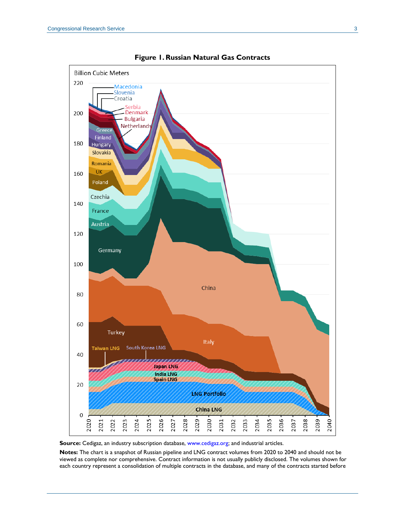<span id="page-2-0"></span>



**Source:** Cedigaz, an industry subscription database, [www.cedigaz.org;](http://www.cedigaz.org/) and industrial articles.

**Notes:** The chart is a snapshot of Russian pipeline and LNG contract volumes from 2020 to 2040 and should not be viewed as complete nor comprehensive. Contract information is not usually publicly disclosed. The volumes shown for each country represent a consolidation of multiple contracts in the database, and many of the contracts started before